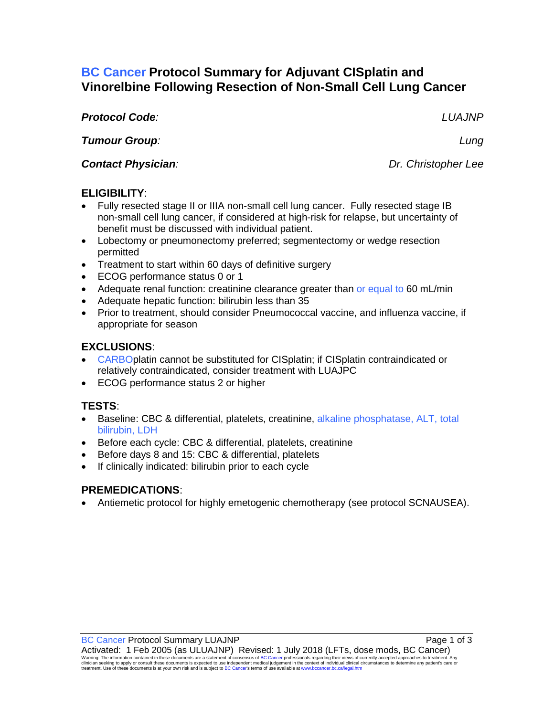## **BC Cancer Protocol Summary for Adjuvant CISplatin and Vinorelbine Following Resection of Non-Small Cell Lung Cancer**

*Protocol Code: LUAJNP* 

*Tumour Group: Lung* 

**Contact Physician**: **Dr. Christopher Lee Dr. Christopher Lee** 

### **ELIGIBILITY**:

- Fully resected stage II or IIIA non-small cell lung cancer. Fully resected stage IB non-small cell lung cancer, if considered at high-risk for relapse, but uncertainty of benefit must be discussed with individual patient.
- Lobectomy or pneumonectomy preferred; segmentectomy or wedge resection permitted
- Treatment to start within 60 days of definitive surgery
- ECOG performance status 0 or 1
- Adequate renal function: creatinine clearance greater than or equal to 60 mL/min
- Adequate hepatic function: bilirubin less than 35
- Prior to treatment, should consider Pneumococcal vaccine, and influenza vaccine, if appropriate for season

# **EXCLUSIONS**:

- CARBOplatin cannot be substituted for CISplatin; if CISplatin contraindicated or relatively contraindicated, consider treatment with LUAJPC
- ECOG performance status 2 or higher

## **TESTS**:

- Baseline: CBC & differential, platelets, creatinine, alkaline phosphatase, ALT, total bilirubin, LDH
- Before each cycle: CBC & differential, platelets, creatinine
- Before days 8 and 15: CBC & differential, platelets
- If clinically indicated: bilirubin prior to each cycle

## **PREMEDICATIONS**:

• Antiemetic protocol for highly emetogenic chemotherapy (see protocol SCNAUSEA).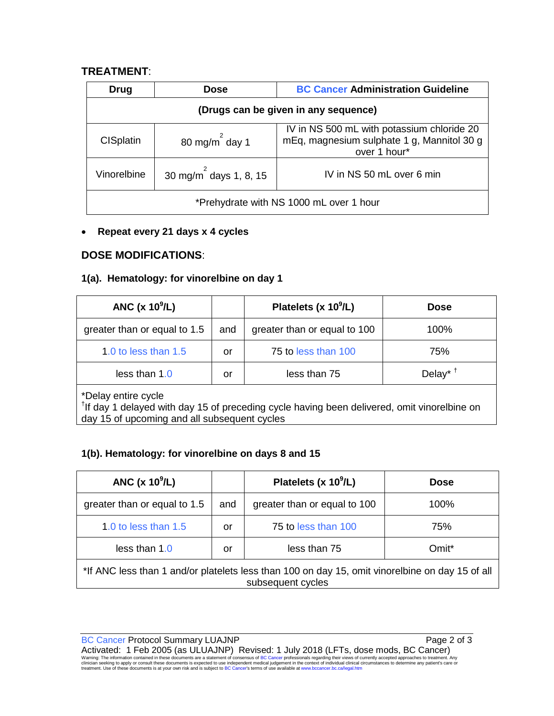#### **TREATMENT**:

| Drug                                    | <b>Dose</b>                  | <b>BC Cancer Administration Guideline</b>                                                                |  |  |  |
|-----------------------------------------|------------------------------|----------------------------------------------------------------------------------------------------------|--|--|--|
| (Drugs can be given in any sequence)    |                              |                                                                                                          |  |  |  |
| <b>CISplatin</b>                        | 80 mg/m $^2$ day 1           | IV in NS 500 mL with potassium chloride 20<br>mEq, magnesium sulphate 1 g, Mannitol 30 g<br>over 1 hour* |  |  |  |
| Vinorelbine                             | 30 mg/m $^{2}$ days 1, 8, 15 | IV in NS 50 mL over 6 min                                                                                |  |  |  |
| *Prehydrate with NS 1000 mL over 1 hour |                              |                                                                                                          |  |  |  |

#### • **Repeat every 21 days x 4 cycles**

#### **DOSE MODIFICATIONS**:

#### **1(a). Hematology: for vinorelbine on day 1**

| ANC $(x 10^9/L)$             |     | Platelets (x $10^9$ /L)      | <b>Dose</b>                       |  |
|------------------------------|-----|------------------------------|-----------------------------------|--|
| greater than or equal to 1.5 | and | greater than or equal to 100 | 100%                              |  |
| 1.0 to less than 1.5         | or  | 75 to less than 100          | 75%                               |  |
| less than 1.0                | or  | less than 75                 | Delay <sup>* <math>†</math></sup> |  |
| *Delay entire cycle          |     |                              |                                   |  |

\*Delay entire cycle<br><sup>†</sup>If day 1 delayed with day 15 of preceding cycle having been delivered, omit vinorelbine on day 15 of upcoming and all subsequent cycles

#### **1(b). Hematology: for vinorelbine on days 8 and 15**

| ANC $(x 10^9/L)$                                                                                                     |     | Platelets (x $10^9$ /L)      | <b>Dose</b> |  |
|----------------------------------------------------------------------------------------------------------------------|-----|------------------------------|-------------|--|
| greater than or equal to 1.5                                                                                         | and | greater than or equal to 100 | 100%        |  |
| 1.0 to less than 1.5                                                                                                 | or  | 75 to less than 100          | 75%         |  |
| less than 1.0                                                                                                        | or  | less than 75                 | Omit*       |  |
| *If ANC less than 1 and/or platelets less than 100 on day 15, omit vinorelbine on day 15 of all<br>subsequent cycles |     |                              |             |  |